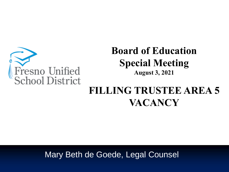

### **Board of Education Special Meeting August 3, 2021**

# **FILLING TRUSTEE AREA 5 VACANCY**

Mary Beth de Goede, Legal Counsel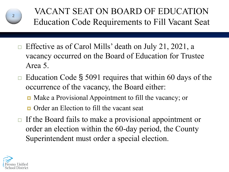

VACANT SEAT ON BOARD OF EDUCATION Education Code Requirements to Fill Vacant Seat

- Effective as of Carol Mills' death on July 21, 2021, a vacancy occurred on the Board of Education for Trustee Area 5.
- $\Box$  Education Code § 5091 requires that within 60 days of the occurrence of the vacancy, the Board either:
	- Make a Provisional Appointment to fill the vacancy; or
	- **Order an Election to fill the vacant seat**
- $\Box$  If the Board fails to make a provisional appointment or order an election within the 60-day period, the County Superintendent must order a special election.

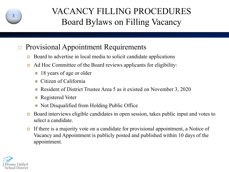

### VACANCY FILLING PROCEDURES Board Bylaws on Filling Vacancy

#### Provisional Appointment Requirements

- Board to advertise in local media to solicit candidate applications
- Ad Hoc Committee of the Board reviews applicants for eligibility:
	- 18 years of age or older
	- $\blacksquare$  Citizen of California
	- Resident of District Trustee Area 5 as it existed on November 3, 2020
	- Registered Voter
	- Not Disqualified from Holding Public Office
- Board interviews eligible candidates in open session, takes public input and votes to select a candidate.
- If there is a majority vote on a candidate for provisional appointment, a Notice of Vacancy and Appointment is publicly posted and published within 10 days of the appointment.

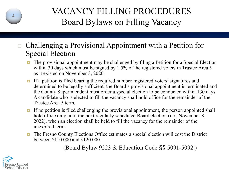

## VACANCY FILLING PROCEDURES Board Bylaws on Filling Vacancy

- Challenging a Provisional Appointment with a Petition for Special Election
	- The provisional appointment may be challenged by filing a Petition for a Special Election within 30 days which must be signed by 1.5% of the registered voters in Trustee Area 5 as it existed on November 3, 2020.
	- If a petition is filed bearing the required number registered voters' signatures and determined to be legally sufficient, the Board's provisional appointment is terminated and the County Superintendent must order a special election to be conducted within 130 days. A candidate who is elected to fill the vacancy shall hold office for the remainder of the Trustee Area 5 term.
	- $\Box$  If no petition is filed challenging the provisional appointment, the person appointed shall hold office only until the next regularly scheduled Board election (i.e., November 8, 2022), when an election shall be held to fill the vacancy for the remainder of the unexpired term.
	- The Fresno County Elections Office estimates a special election will cost the District between \$110,000 and \$120,000.

(Board Bylaw 9223 & Education Code §§ 5091-5092.)

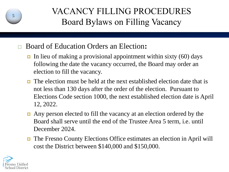

## VACANCY FILLING PROCEDURES Board Bylaws on Filling Vacancy

- Board of Education Orders an Election**:**
	- In lieu of making a provisional appointment within sixty  $(60)$  days following the date the vacancy occurred, the Board may order an election to fill the vacancy.
	- The election must be held at the next established election date that is not less than 130 days after the order of the election. Pursuant to Elections Code section 1000, the next established election date is April 12, 2022.
	- Any person elected to fill the vacancy at an election ordered by the Board shall serve until the end of the Trustee Area 5 term, i.e. until December 2024.
	- The Fresno County Elections Office estimates an election in April will cost the District between \$140,000 and \$150,000.